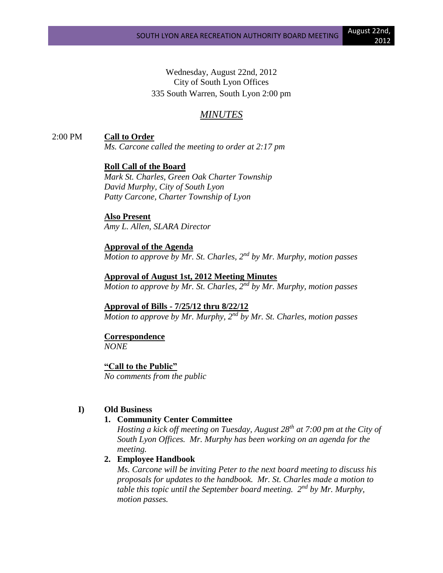Wednesday, August 22nd, 2012 City of South Lyon Offices 335 South Warren, South Lyon 2:00 pm

# *MINUTES*

2:00 PM **Call to Order**

*Ms. Carcone called the meeting to order at 2:17 pm*

**Roll Call of the Board** *Mark St. Charles, Green Oak Charter Township David Murphy, City of South Lyon Patty Carcone, Charter Township of Lyon*

**Also Present** *Amy L. Allen, SLARA Director*

**Approval of the Agenda** *Motion to approve by Mr. St. Charles, 2nd by Mr. Murphy, motion passes*

**Approval of August 1st, 2012 Meeting Minutes** *Motion to approve by Mr. St. Charles, 2nd by Mr. Murphy, motion passes*

**Approval of Bills - 7/25/12 thru 8/22/12** *Motion to approve by Mr. Murphy, 2nd by Mr. St. Charles, motion passes*

**Correspondence** *NONE*

**"Call to the Public"** *No comments from the public*

## **I) Old Business**

# **1. Community Center Committee**

*Hosting a kick off meeting on Tuesday, August 28th at 7:00 pm at the City of South Lyon Offices. Mr. Murphy has been working on an agenda for the meeting.*

## **2. Employee Handbook**

*Ms. Carcone will be inviting Peter to the next board meeting to discuss his proposals for updates to the handbook. Mr. St. Charles made a motion to table this topic until the September board meeting. 2nd by Mr. Murphy, motion passes.*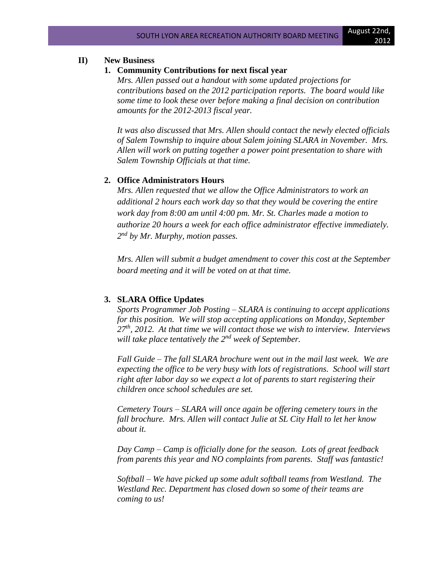# **II) New Business**

#### **1. Community Contributions for next fiscal year**

*Mrs. Allen passed out a handout with some updated projections for contributions based on the 2012 participation reports. The board would like some time to look these over before making a final decision on contribution amounts for the 2012-2013 fiscal year.*

*It was also discussed that Mrs. Allen should contact the newly elected officials of Salem Township to inquire about Salem joining SLARA in November. Mrs. Allen will work on putting together a power point presentation to share with Salem Township Officials at that time.*

### **2. Office Administrators Hours**

*Mrs. Allen requested that we allow the Office Administrators to work an additional 2 hours each work day so that they would be covering the entire work day from 8:00 am until 4:00 pm. Mr. St. Charles made a motion to authorize 20 hours a week for each office administrator effective immediately. 2 nd by Mr. Murphy, motion passes.*

*Mrs. Allen will submit a budget amendment to cover this cost at the September board meeting and it will be voted on at that time.*

#### **3. SLARA Office Updates**

*Sports Programmer Job Posting – SLARA is continuing to accept applications for this position. We will stop accepting applications on Monday, September 27th, 2012. At that time we will contact those we wish to interview. Interviews will take place tentatively the 2nd week of September.*

*Fall Guide – The fall SLARA brochure went out in the mail last week. We are expecting the office to be very busy with lots of registrations. School will start right after labor day so we expect a lot of parents to start registering their children once school schedules are set.*

*Cemetery Tours – SLARA will once again be offering cemetery tours in the fall brochure. Mrs. Allen will contact Julie at SL City Hall to let her know about it.*

*Day Camp – Camp is officially done for the season. Lots of great feedback from parents this year and NO complaints from parents. Staff was fantastic!*

*Softball – We have picked up some adult softball teams from Westland. The Westland Rec. Department has closed down so some of their teams are coming to us!*